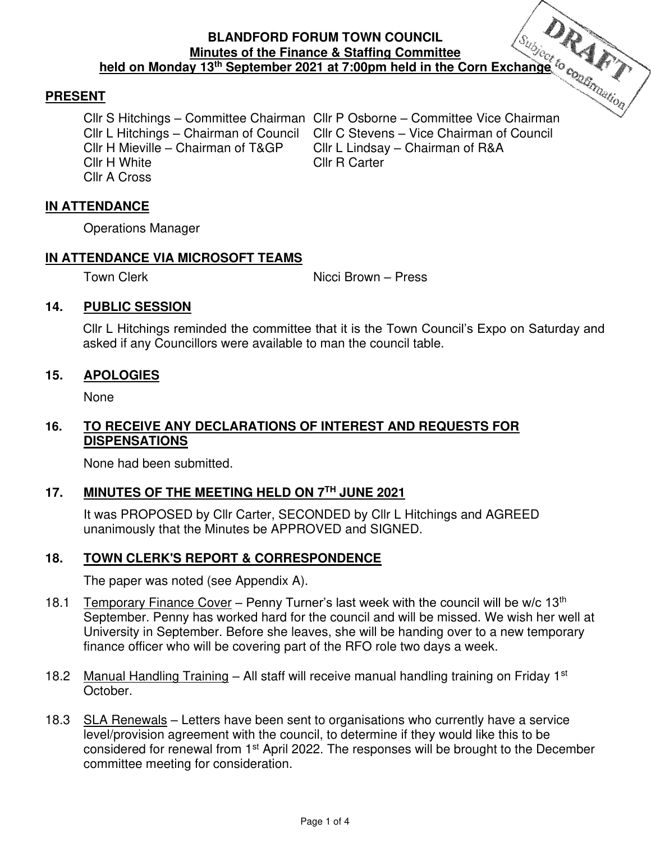#### **BLANDFORD FORUM TOWN COUNCIL Minutes of the Finance & Staffing Committee held on Monday 13th September 2021 at 7:00pm held in the Corn Exchange**

## **PRESENT**

Cllr H White Cllr R Carter Cllr A Cross

Cllr S Hitchings – Committee Chairman Cllr P Osborne – Committee Vice Chairman Cllr L Hitchings – Chairman of Council Cllr C Stevens – Vice Chairman of Council<br>Cllr H Mieville – Chairman of T&GP Cllr L Lindsav – Chairman of R&A Cllr L Lindsay – Chairman of R&A

### **IN ATTENDANCE**

Operations Manager

#### **IN ATTENDANCE VIA MICROSOFT TEAMS**

Town Clerk **Nicci Brown** – Press

### **14. PUBLIC SESSION**

Cllr L Hitchings reminded the committee that it is the Town Council's Expo on Saturday and asked if any Councillors were available to man the council table.

#### **15. APOLOGIES**

None

## **16. TO RECEIVE ANY DECLARATIONS OF INTEREST AND REQUESTS FOR DISPENSATIONS**

None had been submitted.

### **17. MINUTES OF THE MEETING HELD ON 7TH JUNE 2021**

It was PROPOSED by Cllr Carter, SECONDED by Cllr L Hitchings and AGREED unanimously that the Minutes be APPROVED and SIGNED.

### **18. TOWN CLERK'S REPORT & CORRESPONDENCE**

The paper was noted (see Appendix A).

- 18.1 Temporary Finance Cover Penny Turner's last week with the council will be w/c  $13<sup>th</sup>$ September. Penny has worked hard for the council and will be missed. We wish her well at University in September. Before she leaves, she will be handing over to a new temporary finance officer who will be covering part of the RFO role two days a week.
- 18.2 Manual Handling Training All staff will receive manual handling training on Friday 1st October.
- 18.3 SLA Renewals Letters have been sent to organisations who currently have a service level/provision agreement with the council, to determine if they would like this to be considered for renewal from 1st April 2022. The responses will be brought to the December committee meeting for consideration.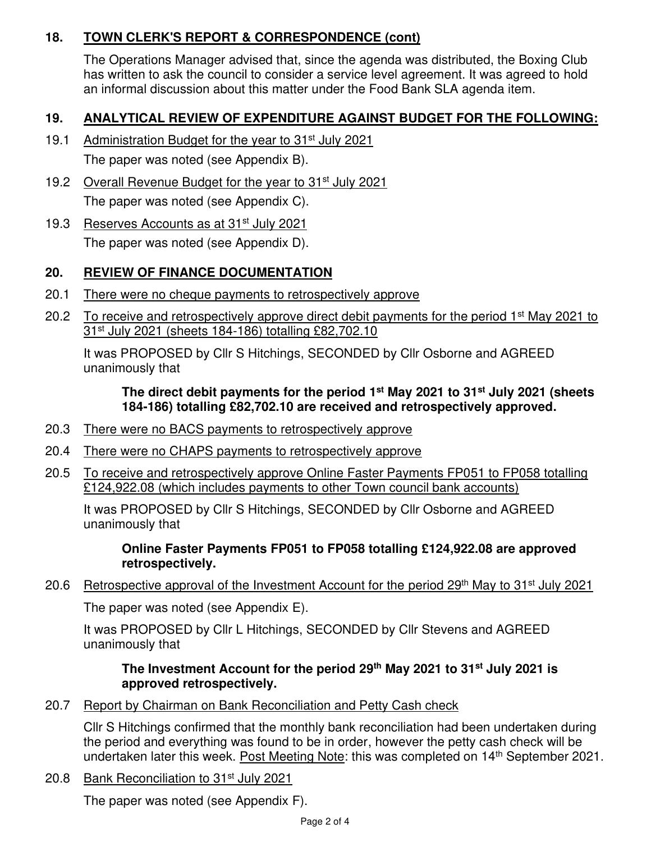# **18. TOWN CLERK'S REPORT & CORRESPONDENCE (cont)**

The Operations Manager advised that, since the agenda was distributed, the Boxing Club has written to ask the council to consider a service level agreement. It was agreed to hold an informal discussion about this matter under the Food Bank SLA agenda item.

# **19. ANALYTICAL REVIEW OF EXPENDITURE AGAINST BUDGET FOR THE FOLLOWING:**

- 19.1 Administration Budget for the year to 31<sup>st</sup> July 2021 The paper was noted (see Appendix B).
- 19.2 Overall Revenue Budget for the year to 31<sup>st</sup> July 2021 The paper was noted (see Appendix C).
- 19.3 Reserves Accounts as at 31<sup>st</sup> July 2021 The paper was noted (see Appendix D).

# **20. REVIEW OF FINANCE DOCUMENTATION**

- 20.1 There were no cheque payments to retrospectively approve
- 20.2 To receive and retrospectively approve direct debit payments for the period 1<sup>st</sup> May 2021 to 31st July 2021 (sheets 184-186) totalling £82,702.10

It was PROPOSED by Cllr S Hitchings, SECONDED by Cllr Osborne and AGREED unanimously that

## **The direct debit payments for the period 1st May 2021 to 31st July 2021 (sheets 184-186) totalling £82,702.10 are received and retrospectively approved.**

- 20.3 There were no BACS payments to retrospectively approve
- 20.4 There were no CHAPS payments to retrospectively approve
- 20.5 To receive and retrospectively approve Online Faster Payments FP051 to FP058 totalling £124,922.08 (which includes payments to other Town council bank accounts)

It was PROPOSED by Cllr S Hitchings, SECONDED by Cllr Osborne and AGREED unanimously that

## **Online Faster Payments FP051 to FP058 totalling £124,922.08 are approved retrospectively.**

20.6 Retrospective approval of the Investment Account for the period 29<sup>th</sup> May to 31<sup>st</sup> July 2021

The paper was noted (see Appendix E).

It was PROPOSED by Cllr L Hitchings, SECONDED by Cllr Stevens and AGREED unanimously that

## **The Investment Account for the period 29th May 2021 to 31st July 2021 is approved retrospectively.**

20.7 Report by Chairman on Bank Reconciliation and Petty Cash check

Cllr S Hitchings confirmed that the monthly bank reconciliation had been undertaken during the period and everything was found to be in order, however the petty cash check will be undertaken later this week. Post Meeting Note: this was completed on 14<sup>th</sup> September 2021.

20.8 Bank Reconciliation to 31<sup>st</sup> July 2021

The paper was noted (see Appendix F).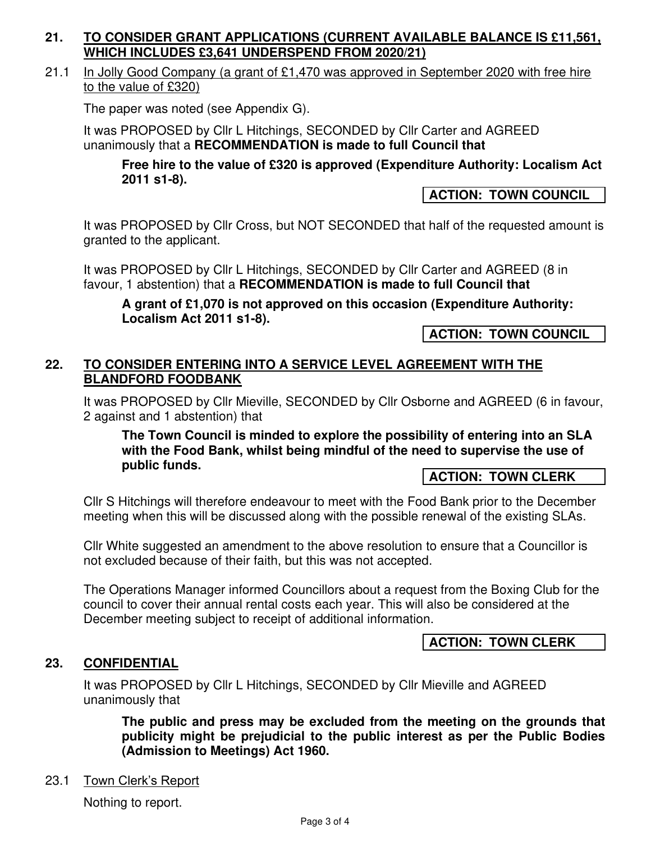## **21. TO CONSIDER GRANT APPLICATIONS (CURRENT AVAILABLE BALANCE IS £11,561, WHICH INCLUDES £3,641 UNDERSPEND FROM 2020/21)**

21.1 In Jolly Good Company (a grant of £1,470 was approved in September 2020 with free hire to the value of £320)

The paper was noted (see Appendix G).

It was PROPOSED by Cllr L Hitchings, SECONDED by Cllr Carter and AGREED unanimously that a **RECOMMENDATION is made to full Council that**

**Free hire to the value of £320 is approved (Expenditure Authority: Localism Act 2011 s1-8).** 

## **ACTION: TOWN COUNCIL**

It was PROPOSED by Cllr Cross, but NOT SECONDED that half of the requested amount is granted to the applicant.

It was PROPOSED by Cllr L Hitchings, SECONDED by Cllr Carter and AGREED (8 in favour, 1 abstention) that a **RECOMMENDATION is made to full Council that**

**A grant of £1,070 is not approved on this occasion (Expenditure Authority: Localism Act 2011 s1-8).** 

**ACTION: TOWN COUNCIL** 

## **22. TO CONSIDER ENTERING INTO A SERVICE LEVEL AGREEMENT WITH THE BLANDFORD FOODBANK**

It was PROPOSED by Cllr Mieville, SECONDED by Cllr Osborne and AGREED (6 in favour, 2 against and 1 abstention) that

**The Town Council is minded to explore the possibility of entering into an SLA with the Food Bank, whilst being mindful of the need to supervise the use of public funds.** 

### **ACTION: TOWN CLERK**

Cllr S Hitchings will therefore endeavour to meet with the Food Bank prior to the December meeting when this will be discussed along with the possible renewal of the existing SLAs.

Cllr White suggested an amendment to the above resolution to ensure that a Councillor is not excluded because of their faith, but this was not accepted.

The Operations Manager informed Councillors about a request from the Boxing Club for the council to cover their annual rental costs each year. This will also be considered at the December meeting subject to receipt of additional information.

**ACTION: TOWN CLERK** 

### **23. CONFIDENTIAL**

It was PROPOSED by Cllr L Hitchings, SECONDED by Cllr Mieville and AGREED unanimously that

**The public and press may be excluded from the meeting on the grounds that publicity might be prejudicial to the public interest as per the Public Bodies (Admission to Meetings) Act 1960.** 

### 23.1 Town Clerk's Report

Nothing to report.